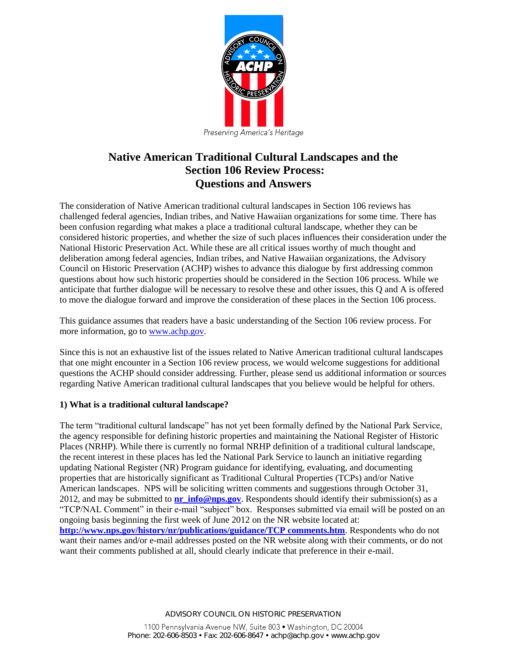

# **Native American Traditional Cultural Landscapes and the Section 106 Review Process: Questions and Answers**

The consideration of Native American traditional cultural landscapes in Section 106 reviews has challenged federal agencies, Indian tribes, and Native Hawaiian organizations for some time. There has been confusion regarding what makes a place a traditional cultural landscape, whether they can be considered historic properties, and whether the size of such places influences their consideration under the National Historic Preservation Act. While these are all critical issues worthy of much thought and deliberation among federal agencies, Indian tribes, and Native Hawaiian organizations, the Advisory Council on Historic Preservation (ACHP) wishes to advance this dialogue by first addressing common questions about how such historic properties should be considered in the Section 106 process. While we anticipate that further dialogue will be necessary to resolve these and other issues, this Q and A is offered to move the dialogue forward and improve the consideration of these places in the Section 106 process.

This guidance assumes that readers have a basic understanding of the Section 106 review process. For more information, go to [www.achp.gov.](http://www.achp.gov/)

Since this is not an exhaustive list of the issues related to Native American traditional cultural landscapes that one might encounter in a Section 106 review process, we would welcome suggestions for additional questions the ACHP should consider addressing. Further, please send us additional information or sources regarding Native American traditional cultural landscapes that you believe would be helpful for others.

# **1) What is a traditional cultural landscape?**

The term "traditional cultural landscape" has not yet been formally defined by the National Park Service, the agency responsible for defining historic properties and maintaining the National Register of Historic Places (NRHP). While there is currently no formal NRHP definition of a traditional cultural landscape, the recent interest in these places has led the National Park Service to launch an initiative regarding updating National Register (NR) Program guidance for identifying, evaluating, and documenting properties that are historically significant as Traditional Cultural Properties (TCPs) and/or Native American landscapes. NPS will be soliciting written comments and suggestions through October 31, 2012, and may be submitted to **[nr\\_info@nps.gov](mailto:nr_info@nps.gov)**. Respondents should identify their submission(s) as a "TCP/NAL Comment" in their e-mail "subject" box. Responses submitted via email will be posted on an ongoing basis beginning the first week of June 2012 on the NR website located at: **[http://www.nps.gov/history/nr/publications/guidance/TCP comments.htm](http://www.nps.gov/history/nr/publications/guidance/TCP%20comments.htm)**. Respondents who do not want their names and/or e-mail addresses posted on the NR website along with their comments, or do not want their comments published at all, should clearly indicate that preference in their e-mail.

ADVISORY COUNCIL ON HISTORIC PRESERVATION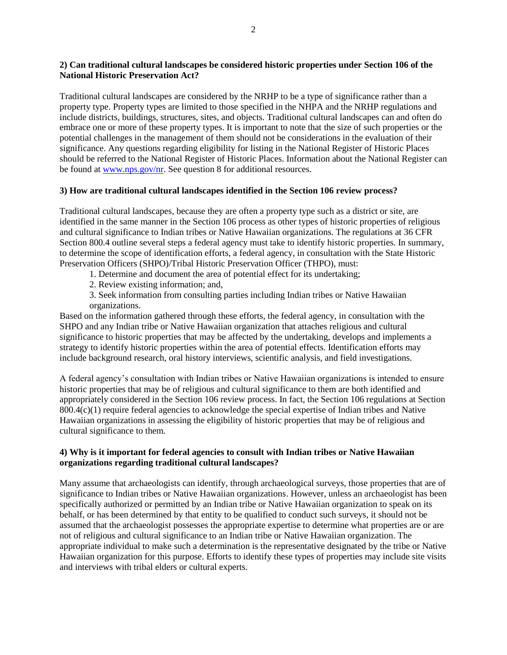#### **2) Can traditional cultural landscapes be considered historic properties under Section 106 of the National Historic Preservation Act?**

Traditional cultural landscapes are considered by the NRHP to be a type of significance rather than a property type. Property types are limited to those specified in the NHPA and the NRHP regulations and include districts, buildings, structures, sites, and objects. Traditional cultural landscapes can and often do embrace one or more of these property types. It is important to note that the size of such properties or the potential challenges in the management of them should not be considerations in the evaluation of their significance. Any questions regarding eligibility for listing in the National Register of Historic Places should be referred to the National Register of Historic Places. Information about the National Register can be found at [www.nps.gov/nr.](http://www.nps.gov/nr) See question 8 for additional resources.

#### **3) How are traditional cultural landscapes identified in the Section 106 review process?**

Traditional cultural landscapes, because they are often a property type such as a district or site, are identified in the same manner in the Section 106 process as other types of historic properties of religious and cultural significance to Indian tribes or Native Hawaiian organizations. The regulations at 36 CFR Section 800.4 outline several steps a federal agency must take to identify historic properties. In summary, to determine the scope of identification efforts, a federal agency, in consultation with the State Historic Preservation Officers (SHPO)/Tribal Historic Preservation Officer (THPO), must:

- 1. Determine and document the area of potential effect for its undertaking;
- 2. Review existing information; and,
- 3. Seek information from consulting parties including Indian tribes or Native Hawaiian organizations.

Based on the information gathered through these efforts, the federal agency, in consultation with the SHPO and any Indian tribe or Native Hawaiian organization that attaches religious and cultural significance to historic properties that may be affected by the undertaking, develops and implements a strategy to identify historic properties within the area of potential effects. Identification efforts may include background research, oral history interviews, scientific analysis, and field investigations.

A federal agency's consultation with Indian tribes or Native Hawaiian organizations is intended to ensure historic properties that may be of religious and cultural significance to them are both identified and appropriately considered in the Section 106 review process. In fact, the Section 106 regulations at Section 800.4(c)(1) require federal agencies to acknowledge the special expertise of Indian tribes and Native Hawaiian organizations in assessing the eligibility of historic properties that may be of religious and cultural significance to them.

#### **4) Why is it important for federal agencies to consult with Indian tribes or Native Hawaiian organizations regarding traditional cultural landscapes?**

Many assume that archaeologists can identify, through archaeological surveys, those properties that are of significance to Indian tribes or Native Hawaiian organizations. However, unless an archaeologist has been specifically authorized or permitted by an Indian tribe or Native Hawaiian organization to speak on its behalf, or has been determined by that entity to be qualified to conduct such surveys, it should not be assumed that the archaeologist possesses the appropriate expertise to determine what properties are or are not of religious and cultural significance to an Indian tribe or Native Hawaiian organization. The appropriate individual to make such a determination is the representative designated by the tribe or Native Hawaiian organization for this purpose. Efforts to identify these types of properties may include site visits and interviews with tribal elders or cultural experts.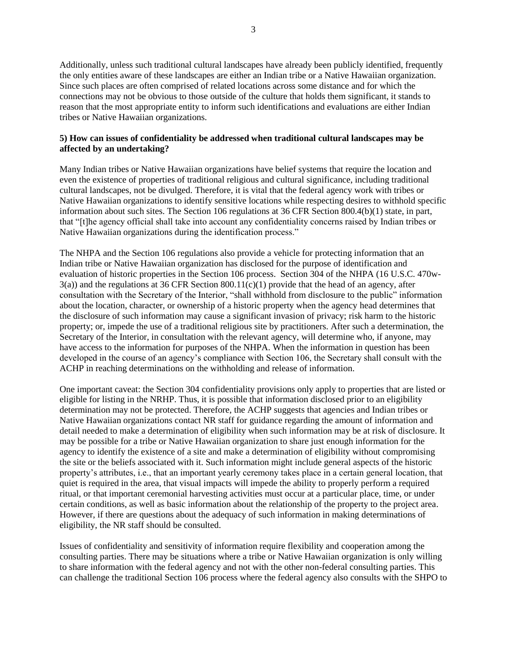Additionally, unless such traditional cultural landscapes have already been publicly identified, frequently the only entities aware of these landscapes are either an Indian tribe or a Native Hawaiian organization. Since such places are often comprised of related locations across some distance and for which the connections may not be obvious to those outside of the culture that holds them significant, it stands to reason that the most appropriate entity to inform such identifications and evaluations are either Indian tribes or Native Hawaiian organizations.

## **5) How can issues of confidentiality be addressed when traditional cultural landscapes may be affected by an undertaking?**

Many Indian tribes or Native Hawaiian organizations have belief systems that require the location and even the existence of properties of traditional religious and cultural significance, including traditional cultural landscapes, not be divulged. Therefore, it is vital that the federal agency work with tribes or Native Hawaiian organizations to identify sensitive locations while respecting desires to withhold specific information about such sites. The Section 106 regulations at 36 CFR Section 800.4(b)(1) state, in part, that "[t]he agency official shall take into account any confidentiality concerns raised by Indian tribes or Native Hawaiian organizations during the identification process."

The NHPA and the Section 106 regulations also provide a vehicle for protecting information that an Indian tribe or Native Hawaiian organization has disclosed for the purpose of identification and evaluation of historic properties in the Section 106 process. Section 304 of the NHPA (16 U.S.C. 470w- $3(a)$ ) and the regulations at 36 CFR Section  $800.11(c)(1)$  provide that the head of an agency, after consultation with the Secretary of the Interior, "shall withhold from disclosure to the public" information about the location, character, or ownership of a historic property when the agency head determines that the disclosure of such information may cause a significant invasion of privacy; risk harm to the historic property; or, impede the use of a traditional religious site by practitioners. After such a determination, the Secretary of the Interior, in consultation with the relevant agency, will determine who, if anyone, may have access to the information for purposes of the NHPA. When the information in question has been developed in the course of an agency's compliance with Section 106, the Secretary shall consult with the ACHP in reaching determinations on the withholding and release of information.

One important caveat: the Section 304 confidentiality provisions only apply to properties that are listed or eligible for listing in the NRHP. Thus, it is possible that information disclosed prior to an eligibility determination may not be protected. Therefore, the ACHP suggests that agencies and Indian tribes or Native Hawaiian organizations contact NR staff for guidance regarding the amount of information and detail needed to make a determination of eligibility when such information may be at risk of disclosure. It may be possible for a tribe or Native Hawaiian organization to share just enough information for the agency to identify the existence of a site and make a determination of eligibility without compromising the site or the beliefs associated with it. Such information might include general aspects of the historic property's attributes, i.e., that an important yearly ceremony takes place in a certain general location, that quiet is required in the area, that visual impacts will impede the ability to properly perform a required ritual, or that important ceremonial harvesting activities must occur at a particular place, time, or under certain conditions, as well as basic information about the relationship of the property to the project area. However, if there are questions about the adequacy of such information in making determinations of eligibility, the NR staff should be consulted.

Issues of confidentiality and sensitivity of information require flexibility and cooperation among the consulting parties. There may be situations where a tribe or Native Hawaiian organization is only willing to share information with the federal agency and not with the other non-federal consulting parties. This can challenge the traditional Section 106 process where the federal agency also consults with the SHPO to